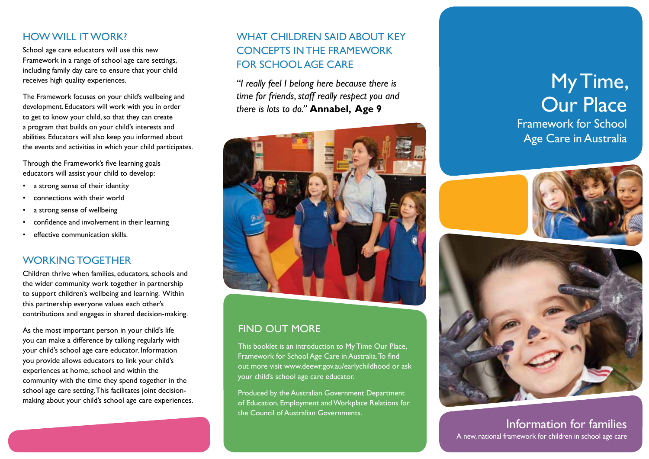### HOW WILL IT WORK?

School age care educators will use this new Framework in a range of school age care settings, including family day care to ensure that your child receives high quality experiences.

The Framework focuses on your child's wellbeing and development. Educators will work with you in order to get to know your child, so that they can create a program that builds on your child's interests and abilities. Educators will also keep you informed about the events and activities in which your child participates.

Through the Framework's five learning goals educators will assist your child to develop:

- a strong sense of their identity
- connections with their world
- a strong sense of wellbeing
- confidence and involvement in their learning
- effective communication skills.

#### WORKING TOGETHER

Children thrive when families, educators, schools and the wider community work together in partnership to support children's wellbeing and learning. Within this partnership everyone values each other's contributions and engages in shared decision-making.

As the most important person in your child's life you can make a difference by talking regularly with your child's school age care educator. Information you provide allows educators to link your child's experiences at home, school and within the community with the time they spend together in the school age care setting. This facilitates joint decisionmaking about your child's school age care experiences.

## WHAT CHILDREN SAID ABOUT KEY CONCEPTS IN THE FRAMEWORK FOR SCHOOL AGE CARE

*"I really feel I belong here because there is time for friends, staff really respect you and there is lots to do."* **Annabel, Age 9**



### FIND OUT MORE

This booklet is an introduction to My Time Our Place, Framework for School Age Care in Australia. To find out more visit www.deewr.gov.au/earlychildhood or ask your child's school age care educator.

Produced by the Australian Government Department of Education, Employment and Workplace Relations for the Council of Australian Governments.

# My Time, **Our Place** Framework for School

Age Care in Australia





Information for families A new, national framework for children in school age care